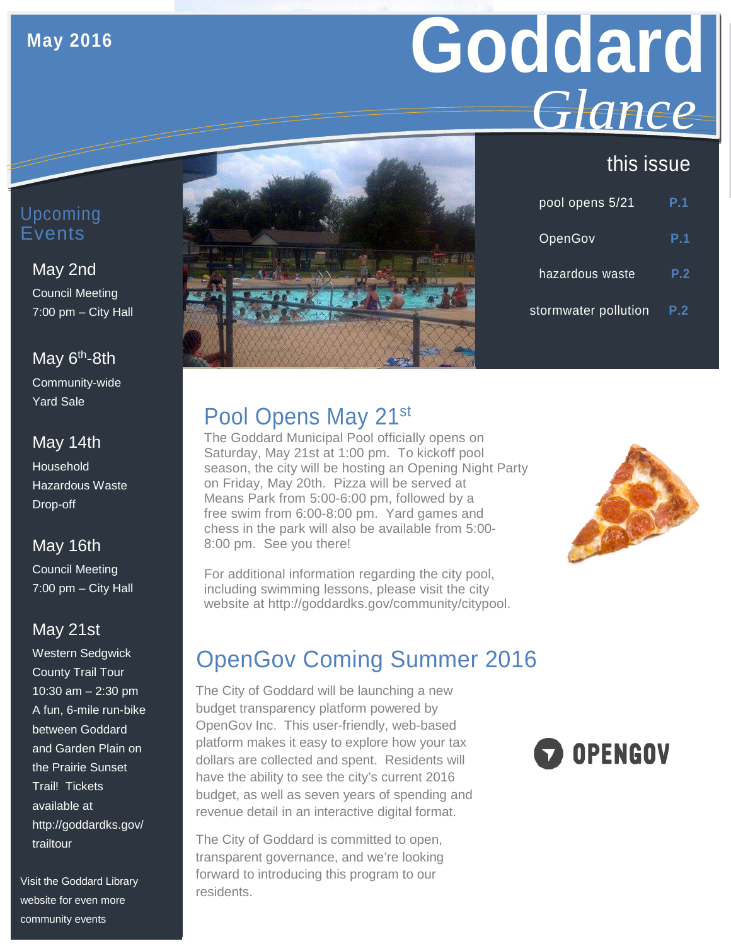## **May 2016**

# **Goddard** *Glance*

## this issue

| pool opens 5/21      | P.1 |
|----------------------|-----|
| OpenGov              | P.1 |
| hazardous waste      | P.2 |
| stormwater pollution | P.2 |

## Upcoming Events

#### May 2nd

Council Meeting 7:00 pm – City Hall

#### May  $6<sup>th</sup>$ -8th

Community-wide Yard Sale

#### May 14th

Household Hazardous Waste Drop-off

## May 16th

Council Meeting 7:00 pm – City Hall

#### May 21st

Western Sedgwick County Trail Tour 10:30 am – 2:30 pm A fun, 6-mile run-bike between Goddard and Garden Plain on the Prairie Sunset Trail! Tickets available at http://goddardks.gov/ trailtour

Visit the Goddard Library website for even more community events



# Pool Opens May 21st

The Goddard Municipal Pool officially opens on Saturday, May 21st at 1:00 pm. To kickoff pool season, the city will be hosting an Opening Night Party on Friday, May 20th. Pizza will be served at Means Park from 5:00-6:00 pm, followed by a free swim from 6:00-8:00 pm. Yard games and chess in the park will also be available from 5:00- 8:00 pm. See you there!



For additional information regarding the city pool, including swimming lessons, please visit the city website at http://goddardks.gov/community/citypool.

# OpenGov Coming Summer 2016

The City of Goddard will be launching a new budget transparency platform powered by OpenGov Inc. This user-friendly, web-based platform makes it easy to explore how your tax dollars are collected and spent. Residents will have the ability to see the city's current 2016 budget, as well as seven years of spending and revenue detail in an interactive digital format.

The City of Goddard is committed to open, transparent governance, and we're looking forward to introducing this program to our residents.